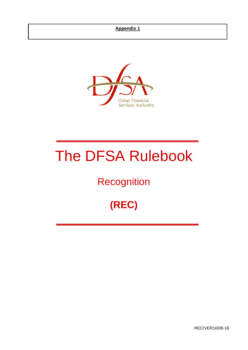

# The DFSA Rulebook

## **Recognition**

## **(REC)**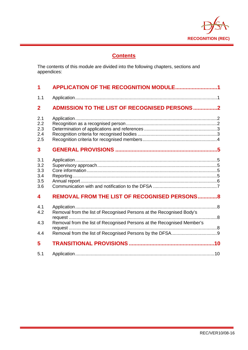

## **Contents**

The contents of this module are divided into the following chapters, sections and appendices:

| 1                                      | APPLICATION OF THE RECOGNITION MODULE1                                                                                                         |
|----------------------------------------|------------------------------------------------------------------------------------------------------------------------------------------------|
| 1.1                                    |                                                                                                                                                |
| $\mathbf{2}$                           | <b>ADMISSION TO THE LIST OF RECOGNISED PERSONS2</b>                                                                                            |
| 2.1<br>2.2<br>2.3<br>2.4<br>2.5        |                                                                                                                                                |
| 3                                      |                                                                                                                                                |
| 3.1<br>3.2<br>3.3<br>3.4<br>3.5<br>3.6 |                                                                                                                                                |
| $\overline{\mathbf{4}}$                | <b>REMOVAL FROM THE LIST OF RECOGNISED PERSONS8</b>                                                                                            |
| 4.1<br>4.2<br>4.3<br>4.4               | Removal from the list of Recognised Persons at the Recognised Body's<br>Removal from the list of Recognised Persons at the Recognised Member's |
| 5                                      |                                                                                                                                                |
| 5.1                                    |                                                                                                                                                |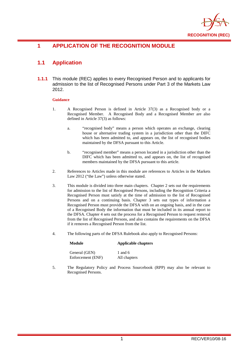

## <span id="page-2-0"></span>**1 APPLICATION OF THE RECOGNITION MODULE**

## <span id="page-2-1"></span>**1.1 Application**

**1.1.1** This module (REC) applies to every Recognised Person and to applicants for admission to the list of Recognised Persons under Part 3 of the Markets Law 2012.

#### **Guidance**

- 1. A Recognised Person is defined in Article 37(3) as a Recognised body or a Recognised Member. A Recognised Body and a Recognised Member are also defined in Article 37(3) as follows:
	- a. "recognised body" means a person which operates an exchange, clearing house or alternative trading system in a jurisdiction other than the DIFC which has been admitted to, and appears on, the list of recognised bodies maintained by the DFSA pursuant to this Article.
	- b. "recognised member" means a person located in a jurisdiction other than the DIFC which has been admitted to, and appears on, the list of recognised members maintained by the DFSA pursuant to this article.
- 2. References to Articles made in this module are references to Articles in the Markets Law 2012 ("the Law") unless otherwise stated.
- 3. This module is divided into three main chapters. Chapter 2 sets out the requirements for admission to the list of Recognised Persons, including the Recognition Criteria a Recognised Person must satisfy at the time of admission to the list of Recognised Persons and on a continuing basis. Chapter 3 sets out types of information a Recognised Person must provide the DFSA with on an ongoing basis, and in the case of a Recognised Body the information that must be included in its annual report to the DFSA. Chapter 4 sets out the process for a Recognised Person to request removal from the list of Recognised Persons, and also contains the requirements on the DFSA if it removes a Recognised Person from the list.
- 4. The following parts of the DFSA Rulebook also apply to Recognised Persons:

## **Module Applicable chapters**

| General (GEN)     | 1 and $6$    |
|-------------------|--------------|
| Enforcement (ENF) | All chapters |

5. The Regulatory Policy and Process Sourcebook (RPP) may also be relevant to Recognised Persons.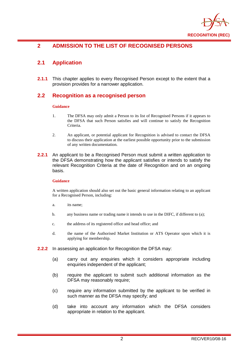

## <span id="page-3-0"></span>**2 ADMISSION TO THE LIST OF RECOGNISED PERSONS**

## <span id="page-3-1"></span>**2.1 Application**

**2.1.1** This chapter applies to every Recognised Person except to the extent that a provision provides for a narrower application.

#### <span id="page-3-2"></span>**2.2 Recognition as a recognised person**

#### **Guidance**

- 1. The DFSA may only admit a Person to its list of Recognised Persons if it appears to the DFSA that such Person satisfies and will continue to satisfy the Recognition Criteria.
- 2. An applicant, or potential applicant for Recognition is advised to contact the DFSA to discuss their application at the earliest possible opportunity prior to the submission of any written documentation.
- **2.2.1** An applicant to be a Recognised Person must submit a written application to the DFSA demonstrating how the applicant satisfies or intends to satisfy the relevant Recognition Criteria at the date of Recognition and on an ongoing basis.

#### **Guidance**

A written application should also set out the basic general information relating to an applicant for a Recognised Person, including:

- a. its name;
- b. any business name or trading name it intends to use in the DIFC, if different to (a);
- c. the address of its registered office and head office; and
- d. the name of the Authorised Market Institution or ATS Operator upon which it is applying for membership.
- **2.2.2** In assessing an application for Recognition the DFSA may:
	- (a) carry out any enquiries which it considers appropriate including enquiries independent of the applicant;
	- (b) require the applicant to submit such additional information as the DFSA may reasonably require;
	- (c) require any information submitted by the applicant to be verified in such manner as the DFSA may specify; and
	- (d) take into account any information which the DFSA considers appropriate in relation to the applicant.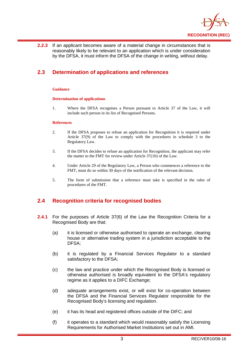

**2.2.3** If an applicant becomes aware of a material change in circumstances that is reasonably likely to be relevant to an application which is under consideration by the DFSA, it must inform the DFSA of the change in writing, without delay.

## <span id="page-4-0"></span>**2.3 Determination of applications and references**

#### **Guidance**

#### **Determination of applications**

1. Where the DFSA recognises a Person pursuant to Article 37 of the Law, it will include such person in its list of Recognised Persons.

#### **References**

- 2. If the DFSA proposes to refuse an application for Recognition it is required under Article 37(9) of the Law to comply with the procedures in schedule 3 to the Regulatory Law.
- 3. If the DFSA decides to refuse an application for Recognition, the applicant may refer the matter to the FMT for review under Article 37(10) of the Law.
- 4. Under Article 29 of the Regulatory Law, a Person who commences a reference to the FMT, must do so within 30 days of the notification of the relevant decision.
- 5. The form of submission that a reference must take is specified in the rules of procedures of the FMT.

#### <span id="page-4-1"></span>**2.4 Recognition criteria for recognised bodies**

- **2.4.1** For the purposes of Article 37(6) of the Law the Recognition Criteria for a Recognised Body are that:
	- (a) it is licensed or otherwise authorised to operate an exchange, clearing house or alternative trading system in a jurisdiction acceptable to the DFSA;
	- (b) it is regulated by a Financial Services Regulator to a standard satisfactory to the DFSA;
	- (c) the law and practice under which the Recognised Body is licensed or otherwise authorised is broadly equivalent to the DFSA's regulatory regime as it applies to a DIFC Exchange;
	- (d) adequate arrangements exist, or will exist for co-operation between the DFSA and the Financial Services Regulator responsible for the Recognised Body's licensing and regulation.
	- (e) it has its head and registered offices outside of the DIFC; and
	- (f) it operates to a standard which would reasonably satisfy the Licensing Requirements for Authorised Market Institutions set out in AMI.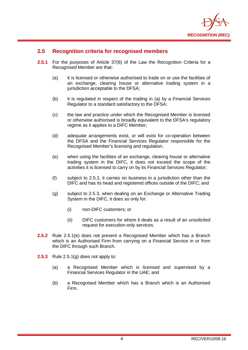

#### <span id="page-5-0"></span>**2.5 Recognition criteria for recognised members**

- **2.5.1** For the purposes of Article 37(6) of the Law the Recognition Criteria for a Recognised Member are that:
	- (a) it is licensed or otherwise authorised to trade on or use the facilities of an exchange, clearing house or alternative trading system in a jurisdiction acceptable to the DFSA;
	- (b) it is regulated in respect of the trading in (a) by a Financial Services Regulator to a standard satisfactory to the DFSA;
	- (c) the law and practice under which the Recognised Member is licensed or otherwise authorised is broadly equivalent to the DFSA's regulatory regime as it applies to a DIFC Member;
	- (d) adequate arrangements exist, or will exist for co-operation between the DFSA and the Financial Services Regulator responsible for the Recognised Member's licensing and regulation.
	- (e) when using the facilities of an exchange, clearing house or alternative trading system in the DIFC, it does not exceed the scope of the activities it is licensed to carry on by its Financial Services Regulator;
	- (f) subject to 2.5.2, it carries on business in a jurisdiction other than the DIFC and has its head and registered offices outside of the DIFC; and
	- (g) subject to 2.5.3, when dealing on an Exchange or Alternative Trading System in the DIFC, it does so only for:
		- (i) non-DIFC customers; or
		- (ii) DIFC customers for whom it deals as a result of an unsolicited request for execution-only services.
- **2.5.2** Rule 2.5.1(e) does not prevent a Recognised Member which has a Branch which is an Authorised Firm from carrying on a Financial Service in or from the DIFC through such Branch.
- **2.5.3** Rule 2.5.1(g) does not apply to:
	- (a) a Recognised Member which is licensed and supervised by a Financial Services Regulator in the UAE; and
	- (b) a Recognised Member which has a Branch which is an Authorised Firm.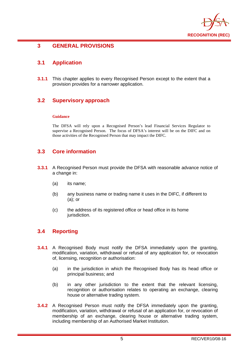

#### <span id="page-6-0"></span>**3 GENERAL PROVISIONS**

#### <span id="page-6-1"></span>**3.1 Application**

**3.1.1** This chapter applies to every Recognised Person except to the extent that a provision provides for a narrower application.

#### <span id="page-6-2"></span>**3.2 Supervisory approach**

#### **Guidance**

The DFSA will rely upon a Recognised Person's lead Financial Services Regulator to supervise a Recognised Person. The focus of DFSA's interest will be on the DIFC and on those activities of the Recognised Person that may impact the DIFC.

#### <span id="page-6-3"></span>**3.3 Core information**

- **3.3.1** A Recognised Person must provide the DFSA with reasonable advance notice of a change in:
	- (a) its name;
	- (b) any business name or trading name it uses in the DIFC, if different to (a); or
	- (c) the address of its registered office or head office in its home jurisdiction.

#### <span id="page-6-4"></span>**3.4 Reporting**

- **3.4.1** A Recognised Body must notify the DFSA immediately upon the granting, modification, variation, withdrawal or refusal of any application for, or revocation of, licensing, recognition or authorisation:
	- (a) in the jurisdiction in which the Recognised Body has its head office or principal business; and
	- (b) in any other jurisdiction to the extent that the relevant licensing, recognition or authorisation relates to operating an exchange, clearing house or alternative trading system.
- **3.4.2** A Recognised Person must notify the DFSA immediately upon the granting, modification, variation, withdrawal or refusal of an application for, or revocation of membership of an exchange, clearing house or alternative trading system, including membership of an Authorised Market Institution.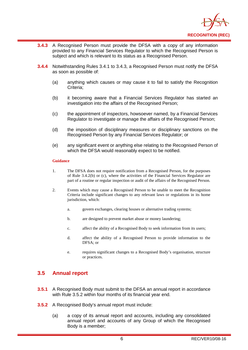

- **3.4.3** A Recognised Person must provide the DFSA with a copy of any information provided to any Financial Services Regulator to which the Recognised Person is subject and which is relevant to its status as a Recognised Person.
- **3.4.4** Notwithstanding Rules 3.4.1 to 3.4.3, a Recognised Person must notify the DFSA as soon as possible of:
	- (a) anything which causes or may cause it to fail to satisfy the Recognition Criteria;
	- (b) it becoming aware that a Financial Services Regulator has started an investigation into the affairs of the Recognised Person;
	- (c) the appointment of inspectors, howsoever named, by a Financial Services Regulator to investigate or manage the affairs of the Recognised Person;
	- (d) the imposition of disciplinary measures or disciplinary sanctions on the Recognised Person by any Financial Services Regulator; or
	- (e) any significant event or anything else relating to the Recognised Person of which the DFSA would reasonably expect to be notified.

#### **Guidance**

- 1. The DFSA does not require notification from a Recognised Person, for the purposes of Rule 3.4.2(b) or (c), where the activities of the Financial Services Regulator are part of a routine or regular inspection or audit of the affairs of the Recognised Person.
- 2. Events which may cause a Recognised Person to be unable to meet the Recognition Criteria include significant changes to any relevant laws or regulations in its home jurisdiction, which:
	- a. govern exchanges, clearing houses or alternative trading systems;
	- b. are designed to prevent market abuse or money laundering;
	- c. affect the ability of a Recognised Body to seek information from its users;
	- d. affect the ability of a Recognised Person to provide information to the DFSA; or
	- e. requires significant changes to a Recognised Body's organisation, structure or practices.

#### <span id="page-7-0"></span>**3.5 Annual report**

- **3.5.1** A Recognised Body must submit to the DFSA an annual report in accordance with Rule 3.5.2 within four months of its financial year end.
- **3.5.2** A Recognised Body's annual report must include:
	- (a) a copy of its annual report and accounts, including any consolidated annual report and accounts of any Group of which the Recognised Body is a member;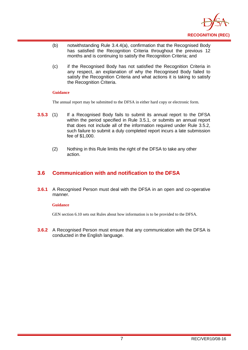

- (b) notwithstanding Rule 3.4.4(a), confirmation that the Recognised Body has satisfied the Recognition Criteria throughout the previous 12 months and is continuing to satisfy the Recognition Criteria; and
- (c) if the Recognised Body has not satisfied the Recognition Criteria in any respect, an explanation of why the Recognised Body failed to satisfy the Recognition Criteria and what actions it is taking to satisfy the Recognition Criteria.

#### **Guidance**

The annual report may be submitted to the DFSA in either hard copy or electronic form.

- **3.5.3** (1) If a Recognised Body fails to submit its annual report to the DFSA within the period specified in Rule 3.5.1, or submits an annual report that does not include all of the information required under Rule 3.5.2, such failure to submit a duly completed report incurs a late submission fee of \$1,000.
	- (2) Nothing in this Rule limits the right of the DFSA to take any other action.

#### <span id="page-8-0"></span>**3.6 Communication with and notification to the DFSA**

**3.6.1** A Recognised Person must deal with the DFSA in an open and co-operative manner.

#### **Guidance**

GEN section 6.10 sets out Rules about how information is to be provided to the DFSA.

**3.6.2** A Recognised Person must ensure that any communication with the DFSA is conducted in the English language.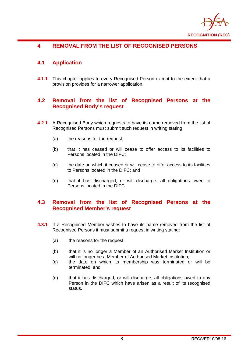

## <span id="page-9-0"></span>**4 REMOVAL FROM THE LIST OF RECOGNISED PERSONS**

#### <span id="page-9-1"></span>**4.1 Application**

**4.1.1** This chapter applies to every Recognised Person except to the extent that a provision provides for a narrower application.

#### <span id="page-9-2"></span>**4.2 Removal from the list of Recognised Persons at the Recognised Body's request**

- **4.2.1** A Recognised Body which requests to have its name removed from the list of Recognised Persons must submit such request in writing stating:
	- (a) the reasons for the request;
	- (b) that it has ceased or will cease to offer access to its facilities to Persons located in the DIFC;
	- (c) the date on which it ceased or will cease to offer access to its facilities to Persons located in the DIFC; and
	- (e) that it has discharged, or will discharge, all obligations owed to Persons located in the DIFC.

#### <span id="page-9-3"></span>**4.3 Removal from the list of Recognised Persons at the Recognised Member's request**

- **4.3.1** If a Recognised Member wishes to have its name removed from the list of Recognised Persons it must submit a request in writing stating:
	- (a) the reasons for the request;
	- (b) that it is no longer a Member of an Authorised Market Institution or will no longer be a Member of Authorised Market Institution;
	- (c) the date on which its membership was terminated or will be terminated; and
	- (d) that it has discharged, or will discharge, all obligations owed to any Person in the DIFC which have arisen as a result of its recognised status.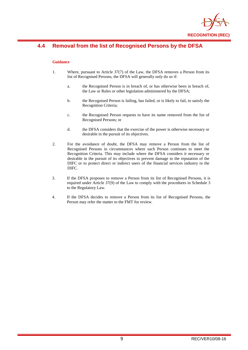

## <span id="page-10-0"></span>**4.4 Removal from the list of Recognised Persons by the DFSA**

#### **Guidance**

- 1. Where, pursuant to Article 37(7) of the Law, the DFSA removes a Person from its list of Recognised Persons, the DFSA will generally only do so if:
	- a. the Recognised Person is in breach of, or has otherwise been in breach of, the Law or Rules or other legislation administered by the DFSA;
	- b. the Recognised Person is failing, has failed, or is likely to fail, to satisfy the Recognition Criteria;
	- c. the Recognised Person requests to have its name removed from the list of Recognised Persons; or
	- d. the DFSA considers that the exercise of the power is otherwise necessary or desirable in the pursuit of its objectives.
- 2. For the avoidance of doubt, the DFSA may remove a Person from the list of Recognised Persons in circumstances where such Person continues to meet the Recognition Criteria. This may include where the DFSA considers it necessary or desirable in the pursuit of its objectives to prevent damage to the reputation of the DIFC or to protect direct or indirect users of the financial services industry in the DIFC.
- 3. If the DFSA proposes to remove a Person from its list of Recognised Persons, it is required under Article 37(9) of the Law to comply with the procedures in Schedule 3 to the Regulatory Law.
- 4. If the DFSA decides to remove a Person from its list of Recognised Persons, the Person may refer the matter to the FMT for review.